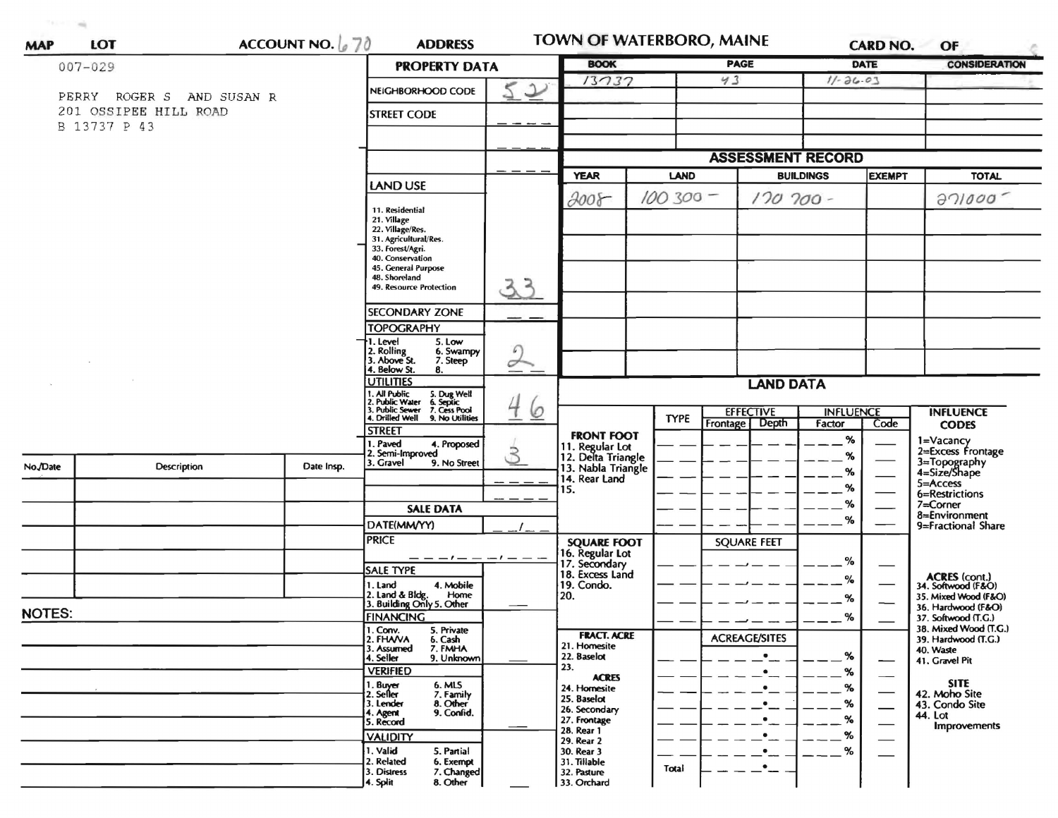| 可参加中<br>$-100$<br><b>MAP</b> | <b>LOT</b>                                         | ACCOUNT NO. $670$                   | <b>ADDRESS</b>                                                                                                                        |                               | <b>TOWN OF WATERBORO, MAINE</b>                                                                   |             |                      |                  | <b>CARD NO.</b>      | OF                                                                                                                                                                               |  |
|------------------------------|----------------------------------------------------|-------------------------------------|---------------------------------------------------------------------------------------------------------------------------------------|-------------------------------|---------------------------------------------------------------------------------------------------|-------------|----------------------|------------------|----------------------|----------------------------------------------------------------------------------------------------------------------------------------------------------------------------------|--|
| $007 - 029$                  |                                                    |                                     | <b>PROPERTY DATA</b>                                                                                                                  | <b>BOOK</b>                   |                                                                                                   | <b>PAGE</b> | DATE                 |                  | <b>CONSIDERATION</b> |                                                                                                                                                                                  |  |
|                              |                                                    | $\overline{2}$<br>NEIGHBORHOOD CODE |                                                                                                                                       | 13737                         |                                                                                                   | 43          | $11 - 26.03$         |                  |                      |                                                                                                                                                                                  |  |
|                              | PERRY ROGER S AND SUSAN R<br>201 OSSIPEE HILL ROAD | <b>STREET CODE</b>                  |                                                                                                                                       |                               |                                                                                                   |             |                      |                  |                      |                                                                                                                                                                                  |  |
|                              | B 13737 P 43                                       |                                     |                                                                                                                                       |                               |                                                                                                   |             |                      |                  |                      |                                                                                                                                                                                  |  |
|                              |                                                    |                                     |                                                                                                                                       |                               | <b>ASSESSMENT RECORD</b>                                                                          |             |                      |                  |                      |                                                                                                                                                                                  |  |
|                              |                                                    |                                     | LAND USE                                                                                                                              |                               | <b>YEAR</b>                                                                                       | <b>LAND</b> | <b>BUILDINGS</b>     |                  | <b>EXEMPT</b>        | <b>TOTAL</b>                                                                                                                                                                     |  |
|                              |                                                    |                                     |                                                                                                                                       |                               | $2008 -$                                                                                          | $100300 -$  | $170700 -$           |                  |                      | 371000                                                                                                                                                                           |  |
|                              |                                                    |                                     | 11. Residential<br>21. Village<br>22. Village/Res.<br>31. Agricultural/Res.<br>33. Forest/Agri.<br>40. Conservation                   |                               |                                                                                                   |             |                      |                  |                      |                                                                                                                                                                                  |  |
|                              |                                                    |                                     | 45. General Purpose<br>48. Shoreland<br>49. Resource Protection<br><b>SECONDARY ZONE</b>                                              | 33                            |                                                                                                   |             |                      |                  |                      |                                                                                                                                                                                  |  |
|                              |                                                    |                                     | <b>TOPOGRAPHY</b>                                                                                                                     |                               |                                                                                                   |             |                      |                  |                      |                                                                                                                                                                                  |  |
|                              |                                                    |                                     | I. Level<br>5. Low<br>2. Rolling<br>3. Above St.<br>6. Swampy<br>7. Steep<br>4. Below St.<br>8.                                       | $\sqrt{2}$<br>$\sigma$        |                                                                                                   |             |                      |                  |                      |                                                                                                                                                                                  |  |
|                              |                                                    |                                     | <b>UTILITIES</b>                                                                                                                      | 4<br>$\circ$<br>$\mathcal{S}$ | <b>LAND DATA</b>                                                                                  |             |                      |                  |                      |                                                                                                                                                                                  |  |
|                              |                                                    |                                     | 1. All Public<br>2. Public Water<br>3. Public Sewer<br>5. Dug Well<br>6. Septic<br>7. Cess Pool<br>4. Drilled Well<br>9. No Utilities |                               |                                                                                                   | <b>TYPE</b> | <b>EFFECTIVE</b>     |                  | <b>INFLUENCE</b>     | <b>INFLUENCE</b>                                                                                                                                                                 |  |
|                              |                                                    |                                     | <b>STREET</b><br>. Paved<br>4. Proposed<br>Semi-Improved<br>3. Gravel<br>9. No Street<br><b>SALE DATA</b>                             |                               | <b>FRONT FOOT</b><br>11. Regular Lot<br>12. Delta Triangle<br>13. Nabla Triangle<br>14. Rear Land |             | Frontage Depth       | Factor<br>%<br>% | Code                 | <b>CODES</b><br>1=Vacancy<br>2=Excess Frontage                                                                                                                                   |  |
| No./Date                     | <b>Description</b>                                 | Date Insp.                          |                                                                                                                                       |                               |                                                                                                   |             |                      | %<br>%           |                      |                                                                                                                                                                                  |  |
|                              |                                                    |                                     |                                                                                                                                       |                               | 15.                                                                                               |             |                      | ℅                |                      |                                                                                                                                                                                  |  |
|                              |                                                    |                                     | DATE(MM/YY)                                                                                                                           |                               |                                                                                                   |             |                      | ℅                |                      |                                                                                                                                                                                  |  |
|                              |                                                    |                                     | <b>PRICE</b>                                                                                                                          |                               | <b>SQUARE FOOT</b>                                                                                |             | <b>SQUARE FEET</b>   |                  |                      |                                                                                                                                                                                  |  |
|                              |                                                    |                                     | $---  ---  --- -$<br><b>SALE TYPE</b>                                                                                                 |                               | 16. Regular Lot<br>18. Excess Land                                                                |             |                      | %                |                      | 3=Topography<br>4=Size/Shape<br>5=Access<br>6=Restrictions<br>$7 =$ Corner<br>8=Environment<br>9=Fractional Share<br>ACRES (cont.)<br>34. Softwood (F&O)<br>35. Mixed Wood (F&O) |  |
|                              |                                                    |                                     | 1. Land<br>4. Mobile<br>Home                                                                                                          |                               | 19. Condo.<br>120.                                                                                |             |                      | %                |                      |                                                                                                                                                                                  |  |
| <b>NOTES:</b>                |                                                    |                                     | 2. Land & Bldg. Home<br>3. Building Only 5. Other<br><b>FINANCING</b>                                                                 |                               |                                                                                                   |             |                      | %<br>%           |                      | 36. Hardwood (F&O)<br>37. Softwood (T.G.)                                                                                                                                        |  |
|                              |                                                    |                                     | 1. Conv.<br>5. Private<br>2. FHAVA<br>6. Cash                                                                                         |                               | <b>FRACT. ACRE</b>                                                                                |             | <b>ACREAGE/SITES</b> |                  |                      | 38. Mixed Wood (T.G.)                                                                                                                                                            |  |
|                              |                                                    |                                     | 3. Assumed<br>7. FMHA<br>4. Seller<br>9. Unknown                                                                                      |                               | 21. Homesite<br>22. Baselot                                                                       |             | $\bullet$            | %                |                      | 39. Hardwood (T.G.)<br>40. Waste<br>41. Gravel Pit                                                                                                                               |  |
|                              |                                                    |                                     | <b>VERIFIED</b>                                                                                                                       |                               | 23.<br><b>ACRES</b>                                                                               |             | $\bullet$            | %                |                      | <b>SITE</b>                                                                                                                                                                      |  |
|                              |                                                    |                                     | 1. Buyer<br>6. MLS<br>7. Family<br>2. Seller<br>3. Lender                                                                             |                               | 24. Homesite<br>25. Baselot                                                                       |             | $\bullet$            | %                |                      | 42. Moho Site                                                                                                                                                                    |  |
|                              |                                                    |                                     | 8. Other<br>9. Confid.<br>4. Agent<br>5. Record                                                                                       |                               | 26. Secondary<br>27. Frontage                                                                     |             | $\bullet$            | %<br>%           |                      | 43. Condo Site<br>44. Lot                                                                                                                                                        |  |
|                              |                                                    |                                     | <b>VALIDITY</b>                                                                                                                       |                               | 28. Rear 1<br>29. Rear 2                                                                          |             |                      | $\%$             |                      | Improvements                                                                                                                                                                     |  |
|                              |                                                    |                                     | 1. Valid<br>5. Partial<br>2. Related<br>6. Exempt                                                                                     |                               | 30. Rear 3<br>31. Tillable                                                                        |             |                      | $\%$             |                      |                                                                                                                                                                                  |  |
|                              |                                                    |                                     | 3. Distress<br>7. Changed<br>4. Split<br>8. Other                                                                                     |                               | 32. Pasture<br>33. Orchard                                                                        | Total       | $\bullet$            |                  |                      |                                                                                                                                                                                  |  |